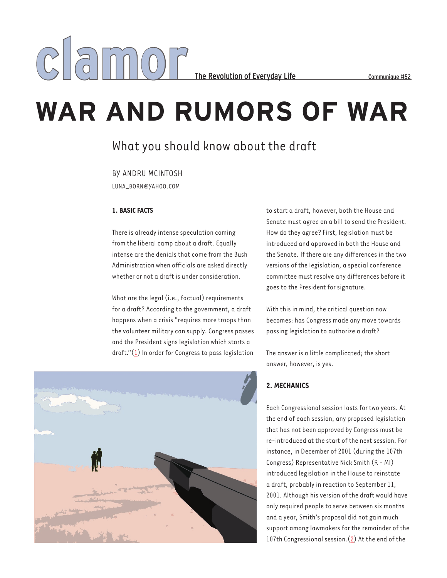## **WAR AND RUMORS OF WAR**

### What you should know about the draft

BY ANDRU MCINTOSH

LUNA\_BORN@YAHOO.COM

#### **1. BASIC FACTS**

There is already intense speculation coming from the liberal camp about a draft. Equally intense are the denials that come from the Bush Administration when officials are asked directly whether or not a draft is under consideration.

What are the legal (i.e., factual) requirements for a draft? According to the government, a draft happens when a crisis "requires more troops than the volunteer military can supply. Congress passes and the President signs legislation which starts a draft." $(1)$  In order for Congress to pass legislation

to start a draft, however, both the House and Senate must agree on a bill to send the President. How do they agree? First, legislation must be introduced and approved in both the House and the Senate. If there are any differences in the two versions of the legislation, a special conference committee must resolve any differences before it goes to the President for signature.

With this in mind, the critical question now becomes: has Congress made any move towards passing legislation to authorize a draft?

The answer is a little complicated; the short answer, however, is yes.

#### **2. MECHANICS**

Each Congressional session lasts for two years. At the end of each session, any proposed legislation that has not been approved by Congress must be re-introduced at the start of the next session. For instance, in December of 2001 (during the 107th Congress) Representative Nick Smith (R - MI) introduced legislation in the House to reinstate a draft, probably in reaction to September 11, 2001. Although his version of the draft would have only required people to serve between six months and a year, Smith's proposal did not gain much support among lawmakers for the remainder of the 107th Congressional session.(2) At the end of the

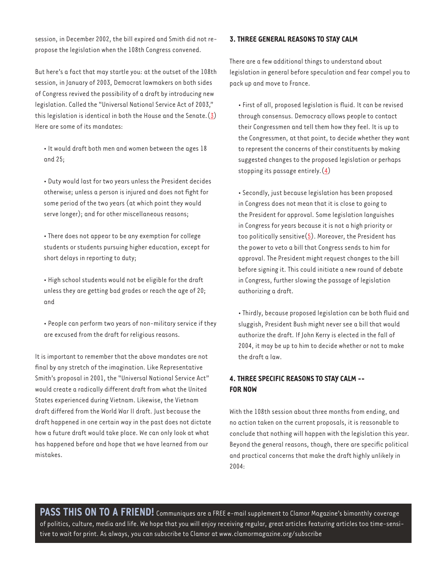session, in December 2002, the bill expired and Smith did not repropose the legislation when the 108th Congress convened.

But here's a fact that may startle you: at the outset of the 108th session, in January of 2003, Democrat lawmakers on both sides of Congress revived the possibility of a draft by introducing new legislation. Called the "Universal National Service Act of 2003," this legislation is identical in both the House and the Senate. $(3)$ Here are some of its mandates:

• It would draft both men and women between the ages 18 and 25;

• Duty would last for two years unless the President decides otherwise; unless a person is injured and does not fight for some period of the two years (at which point they would serve longer); and for other miscellaneous reasons;

• There does not appear to be any exemption for college students or students pursuing higher education, except for short delays in reporting to duty;

• High school students would not be eligible for the draft unless they are getting bad grades or reach the age of 20; and

• People can perform two years of non-military service if they are excused from the draft for religious reasons.

It is important to remember that the above mandates are not final by any stretch of the imagination. Like Representative Smith's proposal in 2001, the "Universal National Service Act" would create a radically different draft from what the United States experienced during Vietnam. Likewise, the Vietnam draft differed from the World War II draft. Just because the draft happened in one certain way in the past does not dictate how a future draft would take place. We can only look at what has happened before and hope that we have learned from our mistakes.

#### **3. THREE GENERAL REASONS TO STAY CALM**

There are a few additional things to understand about legislation in general before speculation and fear compel you to pack up and move to France.

• First of all, proposed legislation is fluid. It can be revised through consensus. Democracy allows people to contact their Congressmen and tell them how they feel. It is up to the Congressmen, at that point, to decide whether they want to represent the concerns of their constituents by making suggested changes to the proposed legislation or perhaps stopping its passage entirely. $(4)$ 

• Secondly, just because legislation has been proposed in Congress does not mean that it is close to going to the President for approval. Some legislation languishes in Congress for years because it is not a high priority or too politically sensitive $(5)$ . Moreover, the President has the power to veto a bill that Congress sends to him for approval. The President might request changes to the bill before signing it. This could initiate a new round of debate in Congress, further slowing the passage of legislation authorizing a draft.

• Thirdly, because proposed legislation can be both fluid and sluggish, President Bush might never see a bill that would authorize the draft. If John Kerry is elected in the fall of 2004, it may be up to him to decide whether or not to make the draft a law.

#### **4. THREE SPECIFIC REASONS TO STAY CALM -- FOR NOW**

With the 108th session about three months from ending, and no action taken on the current proposals, it is reasonable to conclude that nothing will happen with the legislation this year. Beyond the general reasons, though, there are specific political and practical concerns that make the draft highly unlikely in 2004:

PASS THIS ON TO A FRIEND! Communiques are a FREE e-mail supplement to Clamor Magazine's bimonthly coverage of politics, culture, media and life. We hope that you will enjoy receiving regular, great articles featuring articles too time-sensitive to wait for print. As always, you can subscribe to Clamor at www.clamormagazine.org/subscribe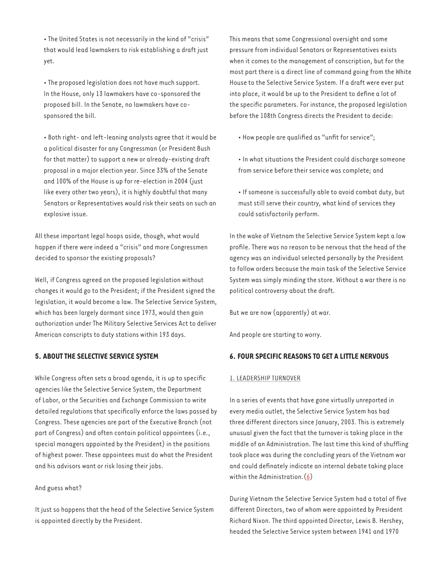• The United States is not necessarily in the kind of "crisis" that would lead lawmakers to risk establishing a draft just yet.

• The proposed legislation does not have much support. In the House, only 13 lawmakers have co-sponsored the proposed bill. In the Senate, no lawmakers have cosponsored the bill.

• Both right- and left-leaning analysts agree that it would be a political disaster for any Congressman (or President Bush for that matter) to support a new or already-existing draft proposal in a major election year. Since 33% of the Senate and 100% of the House is up for re-election in 2004 (just like every other two years), it is highly doubtful that many Senators or Representatives would risk their seats on such an explosive issue.

All these important legal hoops aside, though, what would happen if there were indeed a "crisis" and more Congressmen decided to sponsor the existing proposals?

Well, if Congress agreed on the proposed legislation without changes it would go to the President; if the President signed the legislation, it would become a law. The Selective Service System, which has been largely dormant since 1973, would then gain authorization under The Military Selective Services Act to deliver American conscripts to duty stations within 193 days.

#### **5. ABOUT THE SELECTIVE SERVICE SYSTEM**

While Congress often sets a broad agenda, it is up to specific agencies like the Selective Service System, the Department of Labor, or the Securities and Exchange Commission to write detailed regulations that specifically enforce the laws passed by Congress. These agencies are part of the Executive Branch (not part of Congress) and often contain political appointees (i.e., special managers appointed by the President) in the positions of highest power. These appointees must do what the President and his advisors want or risk losing their jobs.

#### And guess what?

It just so happens that the head of the Selective Service System is appointed directly by the President.

This means that some Congressional oversight and some pressure from individual Senators or Representatives exists when it comes to the management of conscription, but for the most part there is a direct line of command going from the White House to the Selective Service System. If a draft were ever put into place, it would be up to the President to define a lot of the specific parameters. For instance, the proposed legislation before the 108th Congress directs the President to decide:

• How people are qualified as "unfit for service";

• In what situations the President could discharge someone from service before their service was complete; and

• If someone is successfully able to avoid combat duty, but must still serve their country, what kind of services they could satisfactorily perform.

In the wake of Vietnam the Selective Service System kept a low profile. There was no reason to be nervous that the head of the agency was an individual selected personally by the President to follow orders because the main task of the Selective Service System was simply minding the store. Without a war there is no political controversy about the draft.

But we are now (apparently) at war.

And people are starting to worry.

#### **6. FOUR SPECIFIC REASONS TO GET A LITTLE NERVOUS**

#### 1. LEADERSHIP TURNOVER

In a series of events that have gone virtually unreported in every media outlet, the Selective Service System has had three different directors since January, 2003. This is extremely unusual given the fact that the turnover is taking place in the middle of an Administration. The last time this kind of shuffling took place was during the concluding years of the Vietnam war and could definately indicate an internal debate taking place within the Administration.(6)

During Vietnam the Selective Service System had a total of five different Directors, two of whom were appointed by President Richard Nixon. The third appointed Director, Lewis B. Hershey, headed the Selective Service system between 1941 and 1970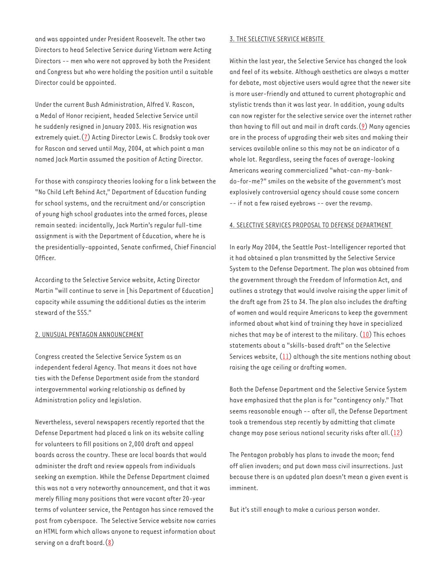and was appointed under President Roosevelt. The other two Directors to head Selective Service during Vietnam were Acting Directors -- men who were not approved by both the President and Congress but who were holding the position until a suitable Director could be appointed.

Under the current Bush Administration, Alfred V. Rascon, a Medal of Honor recipient, headed Selective Service until he suddenly resigned in January 2003. His resignation was extremely quiet.(7) Acting Director Lewis C. Brodsky took over for Rascon and served until May, 2004, at which point a man named Jack Martin assumed the position of Acting Director.

For those with conspiracy theories looking for a link between the "No Child Left Behind Act," Department of Education funding for school systems, and the recruitment and/or conscription of young high school graduates into the armed forces, please remain seated: incidentally, Jack Martin's regular full-time assignment is with the Department of Education, where he is the presidentially-appointed, Senate confirmed, Chief Financial Officer.

According to the Selective Service website, Acting Director Martin "will continue to serve in [his Department of Education] capacity while assuming the additional duties as the interim steward of the SSS."

#### 2. UNUSUAL PENTAGON ANNOUNCEMENT

Congress created the Selective Service System as an independent federal Agency. That means it does not have ties with the Defense Department aside from the standard intergovernmental working relationship as defined by Administration policy and legislation.

Nevertheless, several newspapers recently reported that the Defense Department had placed a link on its website calling for volunteers to fill positions on 2,000 draft and appeal boards across the country. These are local boards that would administer the draft and review appeals from individuals seeking an exemption. While the Defense Department claimed this was not a very noteworthy announcement, and that it was merely filling many positions that were vacant after 20-year terms of volunteer service, the Pentagon has since removed the post from cyberspace. The Selective Service website now carries an HTML form which allows anyone to request information about serving on a draft board.(8)

#### 3. THE SELECTIVE SERVICE WEBSITE

Within the last year, the Selective Service has changed the look and feel of its website. Although aesthetics are always a matter for debate, most objective users would agree that the newer site is more user-friendly and attuned to current photographic and stylistic trends than it was last year. In addition, young adults can now register for the selective service over the internet rather than having to fill out and mail in draft cards. $(9)$  Many agencies are in the process of upgrading their web sites and making their services available online so this may not be an indicator of a whole lot. Regardless, seeing the faces of average-looking Americans wearing commercialized "what-can-my-bankdo-for-me?" smiles on the website of the government's most explosively controversial agency should cause some concern -- if not a few raised eyebrows -- over the revamp.

#### 4. SELECTIVE SERVICES PROPOSAL TO DEFENSE DEPARTMENT

In early May 2004, the Seattle Post-Intelligencer reported that it had obtained a plan transmitted by the Selective Service System to the Defense Department. The plan was obtained from the government through the Freedom of Information Act, and outlines a strategy that would involve raising the upper limit of the draft age from 25 to 34. The plan also includes the drafting of women and would require Americans to keep the government informed about what kind of training they have in specialized niches that may be of interest to the military. (10) This echoes statements about a "skills-based draft" on the Selective Services website,  $(11)$  although the site mentions nothing about raising the age ceiling or drafting women.

Both the Defense Department and the Selective Service System have emphasized that the plan is for "contingency only." That seems reasonable enough -- after all, the Defense Department took a tremendous step recently by admitting that climate change may pose serious national security risks after all. $(12)$ 

The Pentagon probably has plans to invade the moon; fend off alien invaders; and put down mass civil insurrections. Just because there is an updated plan doesn't mean a given event is imminent.

But it's still enough to make a curious person wonder.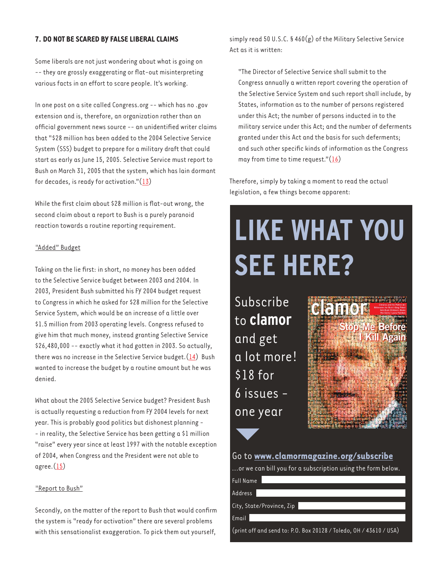#### **7. DO NOT BE SCARED BY FALSE LIBERAL CLAIMS**

Some liberals are not just wondering about what is going on -- they are grossly exaggerating or flat-out misinterpreting various facts in an effort to scare people. It's working.

In one post on a site called Congress.org -- which has no .gov extension and is, therefore, an organization rather than an official government news source -- an unidentified writer claims that "\$28 million has been added to the 2004 Selective Service System (SSS) budget to prepare for a military draft that could start as early as June 15, 2005. Selective Service must report to Bush on March 31, 2005 that the system, which has lain dormant for decades, is ready for activation." $(13)$ 

While the first claim about \$28 million is flat-out wrong, the second claim about a report to Bush is a purely paranoid reaction towards a routine reporting requirement.

#### "Added" Budget

Taking on the lie first: in short, no money has been added to the Selective Service budget between 2003 and 2004. In 2003, President Bush submitted his FY 2004 budget request to Congress in which he asked for \$28 million for the Selective Service System, which would be an increase of a little over \$1.5 million from 2003 operating levels. Congress refused to give him that much money, instead granting Selective Service \$26,480,000 -- exactly what it had gotten in 2003. So actually, there was no increase in the Selective Service budget.  $(14)$  Bush wanted to increase the budget by a routine amount but he was denied.

What about the 2005 Selective Service budget? President Bush is actually requesting a reduction from FY 2004 levels for next year. This is probably good politics but dishonest planning - - in reality, the Selective Service has been getting a \$1 million "raise" every year since at least 1997 with the notable exception of 2004, when Congress and the President were not able to  $q$ gree. $(15)$ 

#### "Report to Bush"

Secondly, on the matter of the report to Bush that would confirm the system is "ready for activation" there are several problems with this sensationalist exaggeration. To pick them out yourself,

simply read 50 U.S.C. § 460(g) of the Military Selective Service Act as it is written:

"The Director of Selective Service shall submit to the Congress annually a written report covering the operation of the Selective Service System and such report shall include, by States, information as to the number of persons registered under this Act; the number of persons inducted in to the military service under this Act; and the number of deferments granted under this Act and the basis for such deferments; and such other specific kinds of information as the Congress may from time to time request." $(16)$ 

Therefore, simply by taking a moment to read the actual legislation, a few things become apparent:

# **LIKE WHAT YOU SEE HERE?**

Subscribe to **clamor**  and get a lot more! \$18 for 6 issues one year



Go to **www.clamormagazine.org/subscribe** ...or we can bill you for a subscription using the form below. Full Name Address City, State/Province, Zip Email (print off and send to: P.O. Box 20128 / Toledo, OH / 43610 / USA)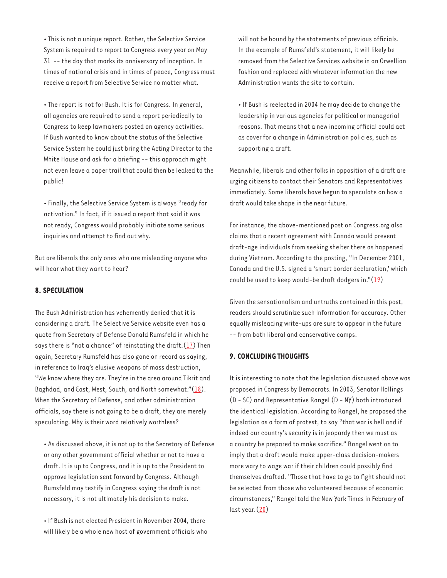• This is not a unique report. Rather, the Selective Service System is required to report to Congress every year on May 31 -- the day that marks its anniversary of inception. In times of national crisis and in times of peace, Congress must receive a report from Selective Service no matter what.

• The report is not for Bush. It is for Congress. In general, all agencies are required to send a report periodically to Congress to keep lawmakers posted on agency activities. If Bush wanted to know about the status of the Selective Service System he could just bring the Acting Director to the White House and ask for a briefing -- this approach might not even leave a paper trail that could then be leaked to the public!

• Finally, the Selective Service System is always "ready for activation." In fact, if it issued a report that said it was not ready, Congress would probably initiate some serious inquiries and attempt to find out why.

But are liberals the only ones who are misleading anyone who will hear what they want to hear?

#### **8. SPECULATION**

The Bush Administration has vehemently denied that it is considering a draft. The Selective Service website even has a quote from Secretary of Defense Donald Rumsfeld in which he says there is "not a chance" of reinstating the draft.  $(17)$  Then again, Secretary Rumsfeld has also gone on record as saying, in reference to Iraq's elusive weapons of mass destruction, "We know where they are. They're in the area around Tikrit and Baghdad, and East, West, South, and North somewhat."(18). When the Secretary of Defense, and other administration officials, say there is not going to be a draft, they are merely speculating. Why is their word relatively worthless?

• As discussed above, it is not up to the Secretary of Defense or any other government official whether or not to have a draft. It is up to Congress, and it is up to the President to approve legislation sent forward by Congress. Although Rumsfeld may testify in Congress saying the draft is not necessary, it is not ultimately his decision to make.

• If Bush is not elected President in November 2004, there will likely be a whole new host of government officials who will not be bound by the statements of previous officials. In the example of Rumsfeld's statement, it will likely be removed from the Selective Services website in an Orwellian fashion and replaced with whatever information the new Administration wants the site to contain.

• If Bush is reelected in 2004 he may decide to change the leadership in various agencies for political or managerial reasons. That means that a new incoming official could act as cover for a change in Administration policies, such as supporting a draft.

Meanwhile, liberals and other folks in opposition of a draft are urging citizens to contact their Senators and Representatives immediately. Some liberals have begun to speculate on how a draft would take shape in the near future.

For instance, the above-mentioned post on Congress.org also claims that a recent agreement with Canada would prevent draft-age individuals from seeking shelter there as happened during Vietnam. According to the posting, "In December 2001, Canada and the U.S. signed a 'smart border declaration,' which could be used to keep would-be draft dodgers in." $(19)$ 

Given the sensationalism and untruths contained in this post, readers should scrutinize such information for accuracy. Other equally misleading write-ups are sure to appear in the future -- from both liberal and conservative camps.

#### **9. CONCLUDING THOUGHTS**

It is interesting to note that the legislation discussed above was proposed in Congress by Democrats. In 2003, Senator Hollings (D - SC) and Representative Rangel (D - NY) both introduced the identical legislation. According to Rangel, he proposed the legislation as a form of protest, to say "that war is hell and if indeed our country's security is in jeopardy then we must as a country be prepared to make sacrifice." Rangel went on to imply that a draft would make upper-class decision-makers more wary to wage war if their children could possibly find themselves drafted. "Those that have to go to fight should not be selected from those who volunteered because of economic circumstances," Rangel told the New York Times in February of last year.(20)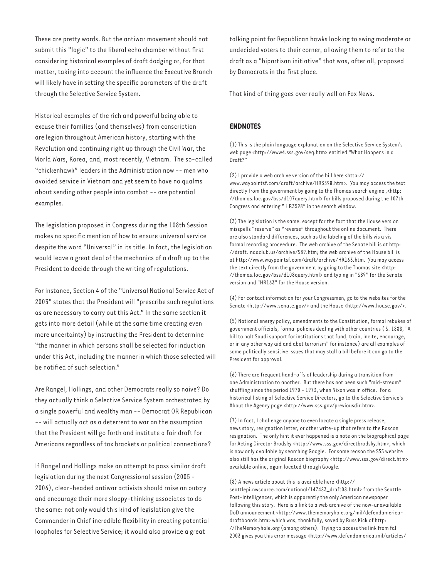These are pretty words. But the antiwar movement should not submit this "logic" to the liberal echo chamber without first considering historical examples of draft dodging or, for that matter, taking into account the influence the Executive Branch will likely have in setting the specific parameters of the draft through the Selective Service System.

Historical examples of the rich and powerful being able to excuse their families (and themselves) from conscription are legion throughout American history, starting with the Revolution and continuing right up through the Civil War, the World Wars, Korea, and, most recently, Vietnam. The so-called "chickenhawk" leaders in the Administration now -- men who avoided service in Vietnam and yet seem to have no qualms about sending other people into combat -- are potential examples.

The legislation proposed in Congress during the 108th Session makes no specific mention of how to ensure universal service despite the word "Universal" in its title. In fact, the legislation would leave a great deal of the mechanics of a draft up to the President to decide through the writing of regulations.

For instance, Section 4 of the "Universal National Service Act of 2003" states that the President will "prescribe such regulations as are necessary to carry out this Act." In the same section it gets into more detail (while at the same time creating even more uncertainty) by instructing the President to determine "the manner in which persons shall be selected for induction under this Act, including the manner in which those selected will be notified of such selection."

Are Rangel, Hollings, and other Democrats really so naive? Do they actually think a Selective Service System orchestrated by a single powerful and wealthy man -- Democrat OR Republican -- will actually act as a deterrent to war on the assumption that the President will go forth and institute a fair draft for Americans regardless of tax brackets or political connections?

If Rangel and Hollings make an attempt to pass similar draft legislation during the next Congressional session (2005 - 2006), clear-headed antiwar activists should raise an outcry and encourage their more sloppy-thinking associates to do the same: not only would this kind of legislation give the Commander in Chief incredible flexibility in creating potential loopholes for Selective Service; it would also provide a great

talking point for Republican hawks looking to swing moderate or undecided voters to their corner, allowing them to refer to the draft as a "bipartisan initiative" that was, after all, proposed by Democrats in the first place.

That kind of thing goes over really well on Fox News.

#### **ENDNOTES**

(1) This is the plain language explanation on the Selective Service System's web page <http://www4.sss.gov/seq.htm> entitled "What Happens in a Draft?"

(2) I provide a web archive version of the bill here <http:// www.waypointsf.com/draft/archive/HR3598.htm>. You may access the text directly from the government by going to the Thomas search engine, <http: //thomas.loc.gov/bss/d107query.html> for bills proposed during the 107th Congress and entering " HR3598" in the search window.

(3) The legislation is the same, except for the fact that the House version misspells "reserve" as "reverse" throughout the online document. There are also standard differences, such as the labeling of the bills vis a vis formal recording proceedure. The web archive of the Senate bill is at http: //draft.indaclub.us/archive/S89.htm; the web archive of the House bill is at http://www.waypointsf.com/draft/archive/HR163.htm. You may access the text directly from the government by going to the Thomas site <http: //thomas.loc.gov/bss/d108query.html> and typing in "S89" for the Senate version and "HR163" for the House version.

(4) For contact information for your Congressmen, go to the websites for the Senate <http://www.senate.gov/> and the House <http://www.house.gov/>.

(5) National energy policy, amendments to the Constitution, formal rebukes of government officials, formal policies dealing with other countries (S. 1888, "A bill to halt Saudi support for institutions that fund, train, incite, encourage, or in any other way aid and abet terrorism" for instance) are all examples of some politically sensitive issues that may stall a bill before it can go to the President for approval.

(6) There are frequent hand-offs of leadership during a transition from one Administration to another. But there has not been such "mid-stream" shuffling since the period 1970 - 1973, when Nixon was in office. For a historical listing of Selective Service Directors, go to the Selective Service's About the Agency page <http://www.sss.gov/previousdir.htm>.

(7) In fact, I challenge anyone to even locate a single press release, news story, resignation letter, or other write-up that refers to the Rascon resignation. The only hint it ever happened is a note on the biographical page for Acting Director Brodsky <http://www.sss.gov/directbrodsky.htm>, which is now only available by searching Google. For some reason the SSS website also still has the original Rascon biography <http://www.sss.gov/direct.htm> available online, again located through Google.

(8) A news article about this is available here <http:// seattlepi.nwsource.com/national/147483\_draft08.html> from the Seattle Post-Intelligencer, which is apparently the only American newspaper following this story. Here is a link to a web archive of the now-unavailable DoD announcement <http://www.thememoryhole.org/mil/defendamericadraftboards.htm> which was, thankfully, saved by Russ Kick of http: //TheMemoryhole.org (among others). Trying to access the link from fall 2003 gives you this error message <http://www.defendamerica.mil/articles/